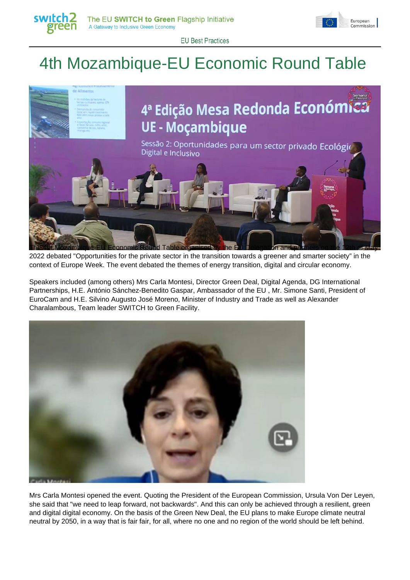



**EU Best Practices** 

## 4th Mozambique-EU Economic Round Table



2022 debated "Opportunities for the private sector in the transition towards a greener and smarter society" in the context of Europe Week. The event debated the themes of energy transition, digital and circular economy.

Speakers included (among others) Mrs Carla Montesi, Director Green Deal, Digital Agenda, DG International Partnerships, H.E. António Sánchez-Benedito Gaspar, Ambassador of the EU , Mr. Simone Santi, President of EuroCam and H.E. Silvino Augusto José Moreno, Minister of Industry and Trade as well as Alexander Charalambous, Team leader SWITCH to Green Facility.



Mrs Carla Montesi opened the event. Quoting the President of the European Commission, Ursula Von Der Leyen, she said that "we need to leap forward, not backwards". And this can only be achieved through a resilient, green and digital digital economy. On the basis of the Green New Deal, the EU plans to make Europe climate neutral neutral by 2050, in a way that is fair fair, for all, where no one and no region of the world should be left behind.